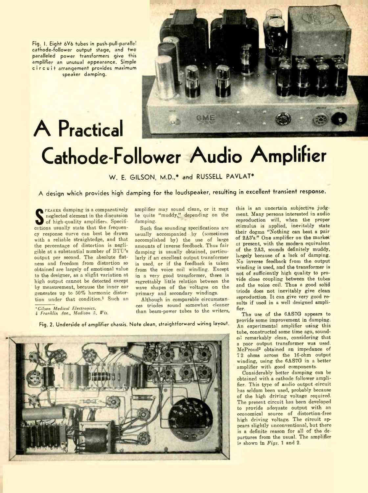Fig. I. Eight 6V6 tubes in push pull-parade! cathode-follower output stage, and two paralleled power transformers give this amplifier an unusual appearance. Simple circuit arrangement provides maximum speaker damping.

A Practical



## Cathode-Follower Audio Amplifier

W. E. GILSON, M.D.,\* and RUSSELL PAVLAT\*

A design which provides high damping for the loudspeaker, resulting in excellent transient response.

**S** neglected element in the discussion<br>of high-quality amplifiers. Specifipeaker **damping** is **a comparatively neglected element in the discussion cations usually state that the frequency response cur\e can best be drawn with a reliable straightedge, and that the percentage of distortion is negligible at a substantial number of B I T 's output per second. The absolute flatness and freedom from distortion so obtained are largely of emotional value to the designer, as a slight variation at high output cannot be detected except by measurement, because the inner ear generates up to 50% harmonic distor**tion under that condition<sup>1</sup> Such an

*\*Gilsor Medical Electropics,*

*i Franklin Ave., Madron 5 Wu*

**amplifier may sound clean, or it may** be quite "muddy." depending on the **damping.**

Such fine sounding specifications are **usually accompanied by (sometimes accomplished by) the use of large amounts of inverse feedback. Thus fair damping is usually obtained, particularly if an excellent output transformer is used or if the feedback is taken from the voice coil winding. Except in a very good transformer, there is regrettably little relation between the wave shapes of the voltages on the primary and secondary windings.**

**Although in comparable circumstan ces triodes sound somewhat cleaner than beam-power tubes to the writers,**

Fig. 2. Underside of amplifier chassis. Note clean, straightforward wiring lavout.



**this is an uncertain subjective judgment. Many persons interested in audio reproduction will, when the proper stimulus is applied, inevitably state their dogma "Nothing can beat a pair of 2A3's." One amplifier on the marke'. at present, with the modern equivalent of the 2A3, sounds definitely muddy, largely because of a lack of damping. No inverse feedback from the output w inding is used, and the transformer is not of sufficiently high quality to pro vide close coupling between the tubes** and the voice coil. Thus a good solid **triode dess not inevitably give clean reproduction. It can give very good results if used in a well designed amplifier.**

**The use of the 6AS7G appears to provide some improvement in damping. An experimental amplifier using this tube, constructed some time ago, sounded remarkably clean, considering that a poor output transformer was used. McProud2 obtained an impedance of 7 2 ohms across the 16-ohm output winding, using the 6AS7G in a better amplifier with good components.**

**Considerably better damping can be obtained with a cathode follower amplifier. This type of audio output circuit has seldom been used, probably because of the high driving voltage required. The present circuit has been developed to provide adequate output with an economical source of distortion-free high driving voltage. The circuit appears slightly unconventional, but there is a definite reason for all of the de partures from the usual. The amplifier is shown in** *Figs.* **1 and 2.**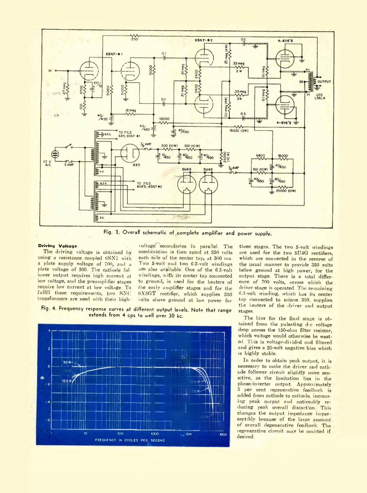

Fig. 3. Overall schematic of complete amplifier and power supply.

## **Driving Voltage**

The driving voltage is obtained by using a resistance coupled 6SN7 with a plate supply voltage of 700, and a plate voltage of 300. The cathode follower output requires high current at low voltage, and the preamplifier stages require low current at low voltage. To fulfill these requirements, two SNC transformers are used with their high

voltage' secondaries in parallel. The combination is then rated at 350 volts each side of the center tap, at 300 ma. Two 5-volt and two 6.3-volt windings are also available. One of the 6.3-volt windings, with its center tap connected to ground, is used for the heaters of the earlv amplifier stages and for the 6X5GT rectifier, which supplies 350 volts above ground at low power for

4. Frequency response curves at different output levels. Note that range extends from 4 cps to well over 30 kc.



these stages. The two 5-volt windings are used for the two 5U4G rectifiers, which are connected in the reverse of the usual manner to provide 350 volts below ground at high power, for the output stage. There is a total difference of 700 volts, across which the driver stage is operated. The remaining 6.3-volt winding, which has its center tap connected to minus 350, supplies the beaters of the driver and output stages.

The bias for the final stage is obtained from the pulsating d-c voltage drop across the 150 ohm filter resistor, which voltage would otherwise be wasted. I'his is voltage-divided and filtered and gives a 25-volt negative bias which is highly stable.

In order to obtain peak output, it is necessary to make the driver and cathode follower circuit slightly more sen sitive, as the limitation lies in the phase inverter output. Approximately 5 pei cent regenerative feedback is added from cathode to cathode, increas ing peak output and noticeably reducing peak overall distortion. This changes the output impedance imperceptibly because of the large amount of overall degenerative feedback. The regenerative circuit may be omitted if desired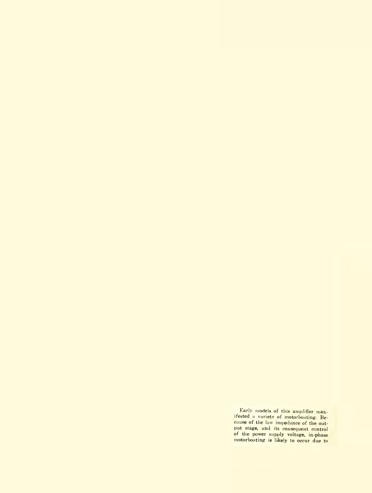Early models of this amplifier man. ifested a variety of motorboating. Because of the low impedance of the output stage, and its consequent control of the power supply voltage, in-phase motorboating is likely to occur due to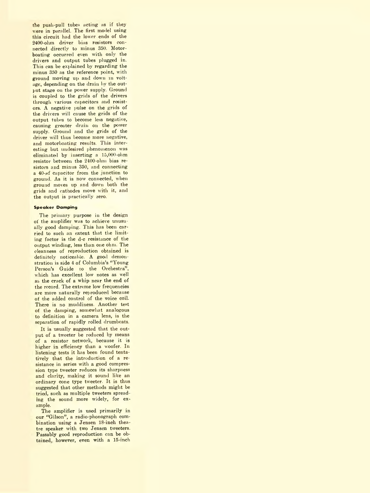the push-pull tubes acting as if they v ere in parallel. The first model using this circuit had the lower ends of the 2400-ohm driver bias resistors connected directlv to minus 350. Motor boating occurred even with only the drivers and output tubes plugged in. This can be explained by regarding the minus 350 as the reference point, with ground moving up and down in voltage, depending on the drain by the output stage on the power supply. Ground is coupled to the grids of the drivers through various capacitors and resistors. A negative pulse on the grids of the drivers will cause the grids of the output tubes to become less negative, causing greater drain on the power supply. Ground and the grids of the driver will thus become more negative, and motorboating results. This inter esting but undesired phenomenon was eliminated by inserting a 15,000-ohm resistor between the 2400-ohm bias resistors and minus 350, and connecting a  $40 - \mu f$  capacitor from the junction to ground. As it is now connected, when ground moves up and down both the grids and cathodes move with it, and the output is practically zero.

## **Speaker Damping**

The primary purpose in the design of the amplifier was to achieve unusually good damping. This has been carried to such an extent that the limiting factor is the d-c resistance of the output winding, less than one ohm. The cleanness of reproduction obtained is definitely noticeable. A good demonstration is side 4 of Columbia's "Young Person's Guide to the Orchestra", which has excellent low notes as well as the crack of a whip near the end of the record. The extreme low frequencies are more naturally reproduced because ot the added control of the voice coil. There is no muddiness. Another test ot the damping, somewhat analogous to definition in a camera lens, is the separation of rapidly rolled drumbeats.

It is usually suggested that the output of a tweeter be reduced by means of a resistor network, because it is higher in efficiency than a woofer. In listening tests it has been found tentatively that the introduction of a resistance in series with a good compression type tweeter reduces its sharpness and clarity, making it sound like an ordinary cone type tweeter. It is thus suggested that other methods might be tried, such as multiple tweeters spread mg the sound more widely, for example.

The amplifier is used primarily in our "Gilson", a radio-phonograph combination using a Jensen 18-inch thea tre speaker with two Jensen tweeters. Passably good reproduction can be obtained however, even with a 15-mch